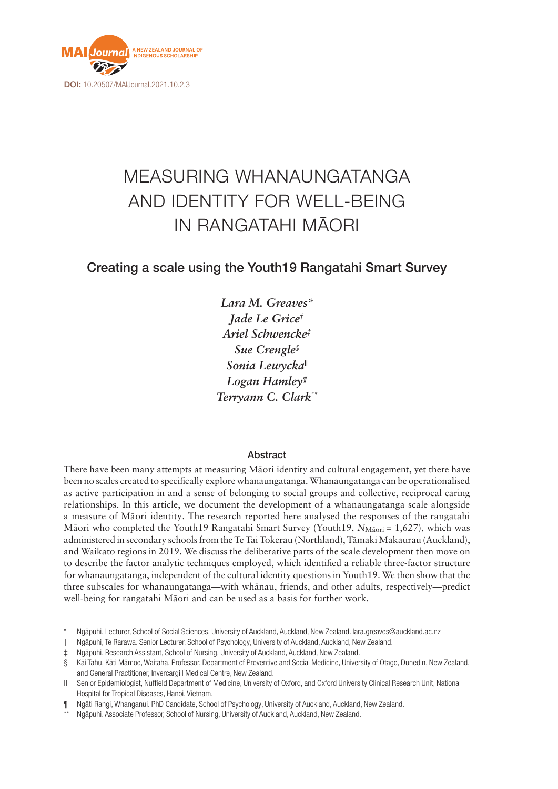

# MEASURING WHANAUNGATANGA AND IDENTITY FOR WELL-BEING IN RANGATAHI MĀORI

# Creating a scale using the Youth19 Rangatahi Smart Survey

*Lara M. Greaves\* Jade Le Grice† Ariel Schwencke‡ Sue Crengle§ Sonia Lewycka|| Logan Hamley¶ Terryann C. Clark\*\**

## Abstract

There have been many attempts at measuring Māori identity and cultural engagement, yet there have been no scales created to specifically explore whanaungatanga. Whanaungatanga can be operationalised as active participation in and a sense of belonging to social groups and collective, reciprocal caring relationships. In this article, we document the development of a whanaungatanga scale alongside a measure of Māori identity. The research reported here analysed the responses of the rangatahi Māori who completed the Youth19 Rangatahi Smart Survey (Youth19, *N*<sub>Māori</sub> = 1,627), which was administered in secondary schools from the Te Tai Tokerau (Northland), Tāmaki Makaurau (Auckland), and Waikato regions in 2019. We discuss the deliberative parts of the scale development then move on to describe the factor analytic techniques employed, which identified a reliable three-factor structure for whanaungatanga, independent of the cultural identity questions in Youth19. We then show that the three subscales for whanaungatanga—with whānau, friends, and other adults, respectively—predict well-being for rangatahi Māori and can be used as a basis for further work.

Ngāpuhi. Lecturer, School of Social Sciences, University of Auckland, Auckland, New Zealand. [lara.greaves@auckland.ac.nz](mailto:lara.greaves@auckland.ac.nz)

<sup>†</sup> Ngāpuhi, Te Rarawa. Senior Lecturer, School of Psychology, University of Auckland, Auckland, New Zealand.

<sup>‡</sup> Ngāpuhi. Research Assistant, School of Nursing, University of Auckland, Auckland, New Zealand.

<sup>§</sup> Kāi Tahu, Kāti Māmoe, Waitaha. Professor, Department of Preventive and Social Medicine, University of Otago, Dunedin, New Zealand, and General Practitioner, Invercargill Medical Centre, New Zealand.

<sup>||</sup> Senior Epidemiologist, Nuffield Department of Medicine, University of Oxford, and Oxford University Clinical Research Unit, National Hospital for Tropical Diseases, Hanoi, Vietnam.

<sup>¶</sup> Ngāti Rangi, Whanganui. PhD Candidate, School of Psychology, University of Auckland, Auckland, New Zealand.

Ngāpuhi. Associate Professor, School of Nursing, University of Auckland, Auckland, New Zealand.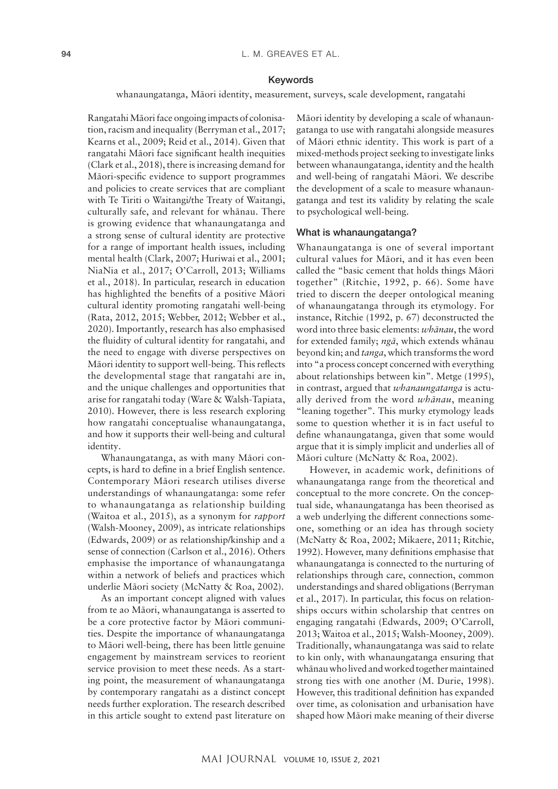#### Keywords

whanaungatanga, Māori identity, measurement, surveys, scale development, rangatahi

Rangatahi Māori face ongoing impacts of colonisation, racism and inequality (Berryman et al., 2017; Kearns et al., 2009; Reid et al., 2014). Given that rangatahi Māori face significant health inequities (Clark et al., 2018), there is increasing demand for Māori-specific evidence to support programmes and policies to create services that are compliant with Te Tiriti o Waitangi/the Treaty of Waitangi, culturally safe, and relevant for whānau. There is growing evidence that whanaungatanga and a strong sense of cultural identity are protective for a range of important health issues, including mental health (Clark, 2007; Huriwai et al., 2001; NiaNia et al., 2017; O'Carroll, 2013; Williams et al., 2018). In particular, research in education has highlighted the benefits of a positive Māori cultural identity promoting rangatahi well-being (Rata, 2012, 2015; Webber, 2012; Webber et al., 2020). Importantly, research has also emphasised the fluidity of cultural identity for rangatahi, and the need to engage with diverse perspectives on Māori identity to support well-being. This reflects the developmental stage that rangatahi are in, and the unique challenges and opportunities that arise for rangatahi today (Ware & Walsh-Tapiata, 2010). However, there is less research exploring how rangatahi conceptualise whanaungatanga, and how it supports their well-being and cultural identity.

Whanaungatanga, as with many Māori concepts, is hard to define in a brief English sentence. Contemporary Māori research utilises diverse understandings of whanaungatanga: some refer to whanaungatanga as relationship building (Waitoa et al., 2015), as a synonym for *rapport* (Walsh-Mooney, 2009), as intricate relationships (Edwards, 2009) or as relationship/kinship and a sense of connection (Carlson et al., 2016). Others emphasise the importance of whanaungatanga within a network of beliefs and practices which underlie Māori society (McNatty & Roa, 2002).

As an important concept aligned with values from te ao Māori, whanaungatanga is asserted to be a core protective factor by Māori communities. Despite the importance of whanaungatanga to Māori well-being, there has been little genuine engagement by mainstream services to reorient service provision to meet these needs. As a starting point, the measurement of whanaungatanga by contemporary rangatahi as a distinct concept needs further exploration. The research described in this article sought to extend past literature on

Māori identity by developing a scale of whanaungatanga to use with rangatahi alongside measures of Māori ethnic identity. This work is part of a mixed-methods project seeking to investigate links between whanaungatanga, identity and the health and well-being of rangatahi Māori. We describe the development of a scale to measure whanaungatanga and test its validity by relating the scale to psychological well-being.

#### What is whanaungatanga?

Whanaungatanga is one of several important cultural values for Māori, and it has even been called the "basic cement that holds things Māori together" (Ritchie, 1992, p. 66). Some have tried to discern the deeper ontological meaning of whanaungatanga through its etymology. For instance, Ritchie (1992, p. 67) deconstructed the word into three basic elements: *whānau*, the word for extended family; *ngā*, which extends whānau beyond kin; and *tanga*, which transforms the word into "a process concept concerned with everything about relationships between kin". Metge (1995), in contrast, argued that *whanaungatanga* is actually derived from the word *whānau*, meaning "leaning together". This murky etymology leads some to question whether it is in fact useful to define whanaungatanga, given that some would argue that it is simply implicit and underlies all of Māori culture (McNatty & Roa, 2002).

However, in academic work, definitions of whanaungatanga range from the theoretical and conceptual to the more concrete. On the conceptual side, whanaungatanga has been theorised as a web underlying the different connections someone, something or an idea has through society (McNatty & Roa, 2002; Mikaere, 2011; Ritchie, 1992). However, many definitions emphasise that whanaungatanga is connected to the nurturing of relationships through care, connection, common understandings and shared obligations (Berryman et al., 2017). In particular, this focus on relationships occurs within scholarship that centres on engaging rangatahi (Edwards, 2009; O'Carroll, 2013; Waitoa et al., 2015; Walsh-Mooney, 2009). Traditionally, whanaungatanga was said to relate to kin only, with whanaungatanga ensuring that whānau who lived and worked together maintained strong ties with one another (M. Durie, 1998). However, this traditional definition has expanded over time, as colonisation and urbanisation have shaped how Māori make meaning of their diverse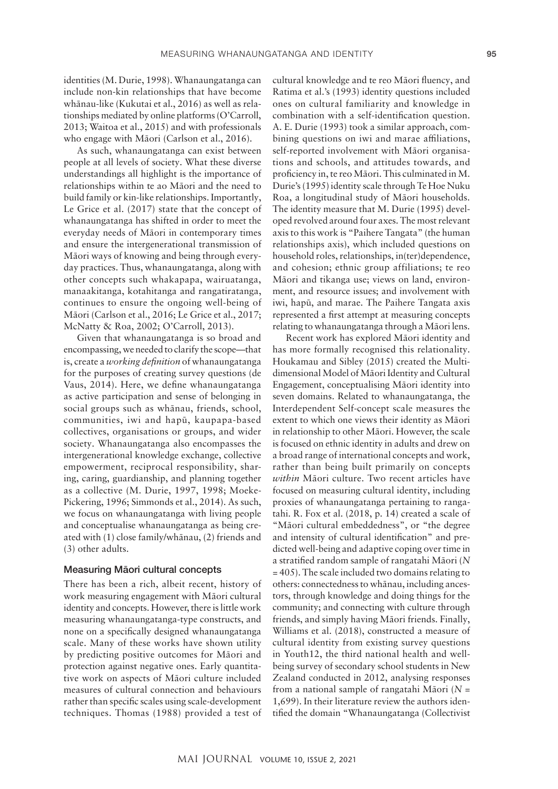identities (M. Durie, 1998). Whanaungatanga can include non-kin relationships that have become whānau-like (Kukutai et al., 2016) as well as relationships mediated by online platforms (O'Carroll, 2013; Waitoa et al., 2015) and with professionals who engage with Māori (Carlson et al., 2016).

As such, whanaungatanga can exist between people at all levels of society. What these diverse understandings all highlight is the importance of relationships within te ao Māori and the need to build family or kin-like relationships. Importantly, Le Grice et al. (2017) state that the concept of whanaungatanga has shifted in order to meet the everyday needs of Māori in contemporary times and ensure the intergenerational transmission of Māori ways of knowing and being through everyday practices. Thus, whanaungatanga, along with other concepts such whakapapa, wairuatanga, manaakitanga, kotahitanga and rangatiratanga, continues to ensure the ongoing well-being of Māori (Carlson et al., 2016; Le Grice et al., 2017; McNatty & Roa, 2002; O'Carroll, 2013).

Given that whanaungatanga is so broad and encompassing, we needed to clarify the scope—that is, create a *working definition* of whanaungatanga for the purposes of creating survey questions (de Vaus, 2014). Here, we define whanaungatanga as active participation and sense of belonging in social groups such as whānau, friends, school, communities, iwi and hapū, kaupapa-based collectives, organisations or groups, and wider society. Whanaungatanga also encompasses the intergenerational knowledge exchange, collective empowerment, reciprocal responsibility, sharing, caring, guardianship, and planning together as a collective (M. Durie, 1997, 1998; Moeke-Pickering, 1996; Simmonds et al., 2014). As such, we focus on whanaungatanga with living people and conceptualise whanaungatanga as being created with (1) close family/whānau, (2) friends and (3) other adults.

#### Measuring Māori cultural concepts

There has been a rich, albeit recent, history of work measuring engagement with Māori cultural identity and concepts. However, there is little work measuring whanaungatanga-type constructs, and none on a specifically designed whanaungatanga scale. Many of these works have shown utility by predicting positive outcomes for Māori and protection against negative ones. Early quantitative work on aspects of Māori culture included measures of cultural connection and behaviours rather than specific scales using scale-development techniques. Thomas (1988) provided a test of

cultural knowledge and te reo Māori fluency, and Ratima et al.'s (1993) identity questions included ones on cultural familiarity and knowledge in combination with a self-identification question. A. E. Durie (1993) took a similar approach, combining questions on iwi and marae affiliations, self-reported involvement with Māori organisations and schools, and attitudes towards, and proficiency in, te reo Māori. This culminated in M. Durie's (1995) identity scale through Te Hoe Nuku Roa, a longitudinal study of Māori households. The identity measure that M. Durie (1995) developed revolved around four axes. The most relevant axis to this work is "Paihere Tangata" (the human relationships axis), which included questions on household roles, relationships, in(ter)dependence, and cohesion; ethnic group affiliations; te reo Māori and tikanga use; views on land, environment, and resource issues; and involvement with iwi, hapū, and marae. The Paihere Tangata axis represented a first attempt at measuring concepts relating to whanaungatanga through a Māori lens.

Recent work has explored Māori identity and has more formally recognised this relationality. Houkamau and Sibley (2015) created the Multidimensional Model of Māori Identity and Cultural Engagement, conceptualising Māori identity into seven domains. Related to whanaungatanga, the Interdependent Self-concept scale measures the extent to which one views their identity as Māori in relationship to other Māori. However, the scale is focused on ethnic identity in adults and drew on a broad range of international concepts and work, rather than being built primarily on concepts *within* Māori culture. Two recent articles have focused on measuring cultural identity, including proxies of whanaungatanga pertaining to rangatahi. R. Fox et al. (2018, p. 14) created a scale of "Māori cultural embeddedness", or "the degree and intensity of cultural identification" and predicted well-being and adaptive coping over time in a stratified random sample of rangatahi Māori (*N*  = 405). The scale included two domains relating to others: connectedness to whānau, including ancestors, through knowledge and doing things for the community; and connecting with culture through friends, and simply having Māori friends. Finally, Williams et al. (2018), constructed a measure of cultural identity from existing survey questions in Youth12, the third national health and wellbeing survey of secondary school students in New Zealand conducted in 2012, analysing responses from a national sample of rangatahi Māori (*N* = 1,699). In their literature review the authors identified the domain "Whanaungatanga (Collectivist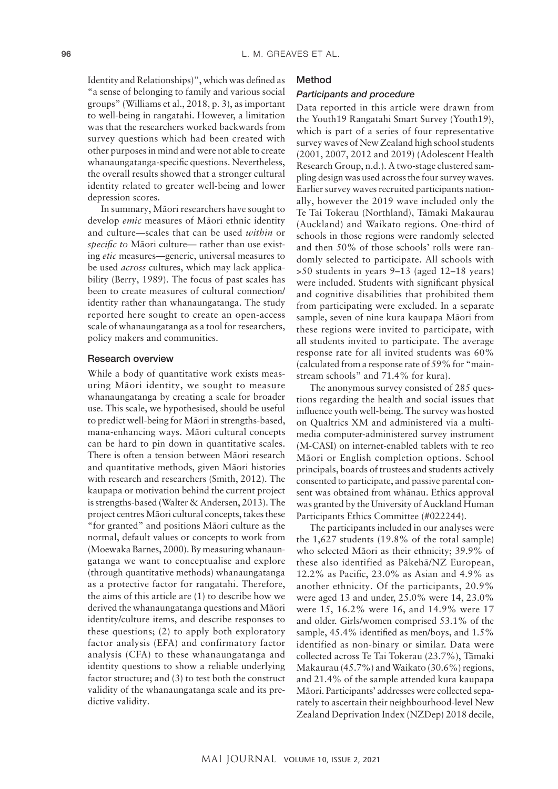Identity and Relationships)", which was defined as "a sense of belonging to family and various social groups" (Williams et al., 2018, p. 3), as important to well-being in rangatahi. However, a limitation was that the researchers worked backwards from survey questions which had been created with other purposes in mind and were not able to create whanaungatanga-specific questions. Nevertheless, the overall results showed that a stronger cultural identity related to greater well-being and lower depression scores.

In summary, Māori researchers have sought to develop *emic* measures of Māori ethnic identity and culture—scales that can be used *within* or *specific to* Māori culture— rather than use existing *etic* measures—generic, universal measures to be used *across* cultures, which may lack applicability (Berry, 1989). The focus of past scales has been to create measures of cultural connection/ identity rather than whanaungatanga. The study reported here sought to create an open-access scale of whanaungatanga as a tool for researchers, policy makers and communities.

#### Research overview

While a body of quantitative work exists measuring Māori identity, we sought to measure whanaungatanga by creating a scale for broader use. This scale, we hypothesised, should be useful to predict well-being for Māori in strengths-based, mana-enhancing ways. Māori cultural concepts can be hard to pin down in quantitative scales. There is often a tension between Māori research and quantitative methods, given Māori histories with research and researchers (Smith, 2012). The kaupapa or motivation behind the current project is strengths-based (Walter & Andersen, 2013). The project centres Māori cultural concepts, takes these "for granted" and positions Māori culture as the normal, default values or concepts to work from (Moewaka Barnes, 2000). By measuring whanaungatanga we want to conceptualise and explore (through quantitative methods) whanaungatanga as a protective factor for rangatahi. Therefore, the aims of this article are (1) to describe how we derived the whanaungatanga questions and Māori identity/culture items, and describe responses to these questions; (2) to apply both exploratory factor analysis (EFA) and confirmatory factor analysis (CFA) to these whanaungatanga and identity questions to show a reliable underlying factor structure; and (3) to test both the construct validity of the whanaungatanga scale and its predictive validity.

#### Method

#### *Participants and procedure*

Data reported in this article were drawn from the Youth19 Rangatahi Smart Survey (Youth19), which is part of a series of four representative survey waves of New Zealand high school students (2001, 2007, 2012 and 2019) (Adolescent Health Research Group, n.d.). A two-stage clustered sampling design was used across the four survey waves. Earlier survey waves recruited participants nationally, however the 2019 wave included only the Te Tai Tokerau (Northland), Tāmaki Makaurau (Auckland) and Waikato regions. One-third of schools in those regions were randomly selected and then 50% of those schools' rolls were randomly selected to participate. All schools with >50 students in years 9–13 (aged 12–18 years) were included. Students with significant physical and cognitive disabilities that prohibited them from participating were excluded. In a separate sample, seven of nine kura kaupapa Māori from these regions were invited to participate, with all students invited to participate. The average response rate for all invited students was 60% (calculated from a response rate of 59% for "mainstream schools" and 71.4% for kura).

The anonymous survey consisted of 285 questions regarding the health and social issues that influence youth well-being. The survey was hosted on Qualtrics XM and administered via a multimedia computer-administered survey instrument (M-CASI) on internet-enabled tablets with te reo Māori or English completion options. School principals, boards of trustees and students actively consented to participate, and passive parental consent was obtained from whānau. Ethics approval was granted by the University of Auckland Human Participants Ethics Committee (#022244).

The participants included in our analyses were the 1,627 students (19.8% of the total sample) who selected Māori as their ethnicity; 39.9% of these also identified as Pākehā/NZ European, 12.2% as Pacific, 23.0% as Asian and 4.9% as another ethnicity. Of the participants, 20.9% were aged 13 and under, 25.0% were 14, 23.0% were 15, 16.2% were 16, and 14.9% were 17 and older. Girls/women comprised 53.1% of the sample, 45.4% identified as men/boys, and 1.5% identified as non-binary or similar. Data were collected across Te Tai Tokerau (23.7%), Tāmaki Makaurau (45.7%) and Waikato (30.6%) regions, and 21.4% of the sample attended kura kaupapa Māori. Participants' addresses were collected separately to ascertain their neighbourhood-level New Zealand Deprivation Index (NZDep) 2018 decile,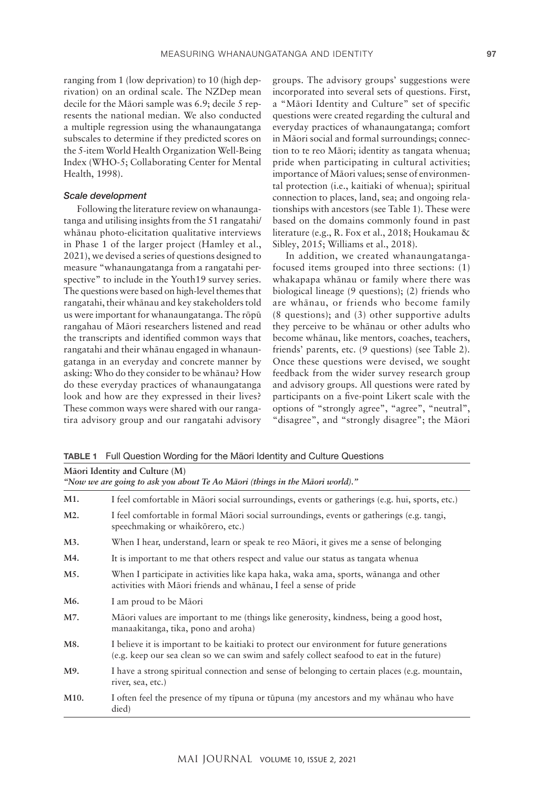ranging from 1 (low deprivation) to 10 (high deprivation) on an ordinal scale. The NZDep mean decile for the Māori sample was 6.9; decile 5 represents the national median. We also conducted a multiple regression using the whanaungatanga subscales to determine if they predicted scores on the 5-item World Health Organization Well-Being Index (WHO-5; Collaborating Center for Mental Health, 1998).

#### *Scale development*

Following the literature review on whanaungatanga and utilising insights from the 51 rangatahi/ whānau photo-elicitation qualitative interviews in Phase 1 of the larger project (Hamley et al., 2021), we devised a series of questions designed to measure "whanaungatanga from a rangatahi perspective" to include in the Youth19 survey series. The questions were based on high-level themes that rangatahi, their whānau and key stakeholders told us were important for whanaungatanga. The rōpū rangahau of Māori researchers listened and read the transcripts and identified common ways that rangatahi and their whānau engaged in whanaungatanga in an everyday and concrete manner by asking: Who do they consider to be whānau? How do these everyday practices of whanaungatanga look and how are they expressed in their lives? These common ways were shared with our rangatira advisory group and our rangatahi advisory

groups. The advisory groups' suggestions were incorporated into several sets of questions. First, a "Māori Identity and Culture" set of specific questions were created regarding the cultural and everyday practices of whanaungatanga; comfort in Māori social and formal surroundings; connection to te reo Māori; identity as tangata whenua; pride when participating in cultural activities; importance of Māori values; sense of environmental protection (i.e., kaitiaki of whenua); spiritual connection to places, land, sea; and ongoing relationships with ancestors (see Table 1). These were based on the domains commonly found in past literature (e.g., R. Fox et al., 2018; Houkamau & Sibley, 2015; Williams et al., 2018).

In addition, we created whanaungatangafocused items grouped into three sections: (1) whakapapa whānau or family where there was biological lineage (9 questions); (2) friends who are whānau, or friends who become family (8 questions); and (3) other supportive adults they perceive to be whānau or other adults who become whānau, like mentors, coaches, teachers, friends' parents, etc. (9 questions) (see Table 2). Once these questions were devised, we sought feedback from the wider survey research group and advisory groups. All questions were rated by participants on a five-point Likert scale with the options of "strongly agree", "agree", "neutral", "disagree", and "strongly disagree"; the Māori

| Māori Identity and Culture (M)<br>"Now we are going to ask you about Te Ao Māori (things in the Māori world)." |                                                                                                                                                                                        |  |
|----------------------------------------------------------------------------------------------------------------|----------------------------------------------------------------------------------------------------------------------------------------------------------------------------------------|--|
| M1.                                                                                                            | I feel comfortable in Māori social surroundings, events or gatherings (e.g. hui, sports, etc.)                                                                                         |  |
| M2.                                                                                                            | I feel comfortable in formal Māori social surroundings, events or gatherings (e.g. tangi,<br>speechmaking or whaikorero, etc.)                                                         |  |
| M3.                                                                                                            | When I hear, understand, learn or speak te reo Māori, it gives me a sense of belonging                                                                                                 |  |
| M4.                                                                                                            | It is important to me that others respect and value our status as tangata whenua                                                                                                       |  |
| M5.                                                                                                            | When I participate in activities like kapa haka, waka ama, sports, wānanga and other<br>activities with Māori friends and whānau, I feel a sense of pride                              |  |
| M6.                                                                                                            | I am proud to be Māori                                                                                                                                                                 |  |
| M7.                                                                                                            | Māori values are important to me (things like generosity, kindness, being a good host,<br>manaakitanga, tika, pono and aroha)                                                          |  |
| M8.                                                                                                            | I believe it is important to be kaitiaki to protect our environment for future generations<br>(e.g. keep our sea clean so we can swim and safely collect seafood to eat in the future) |  |
| M9.                                                                                                            | I have a strong spiritual connection and sense of belonging to certain places (e.g. mountain,<br>river, sea, etc.)                                                                     |  |
| M <sub>10</sub> .                                                                                              | I often feel the presence of my tīpuna or tūpuna (my ancestors and my whānau who have<br>died)                                                                                         |  |

**TABLE 1** Full Question Wording for the Māori Identity and Culture Questions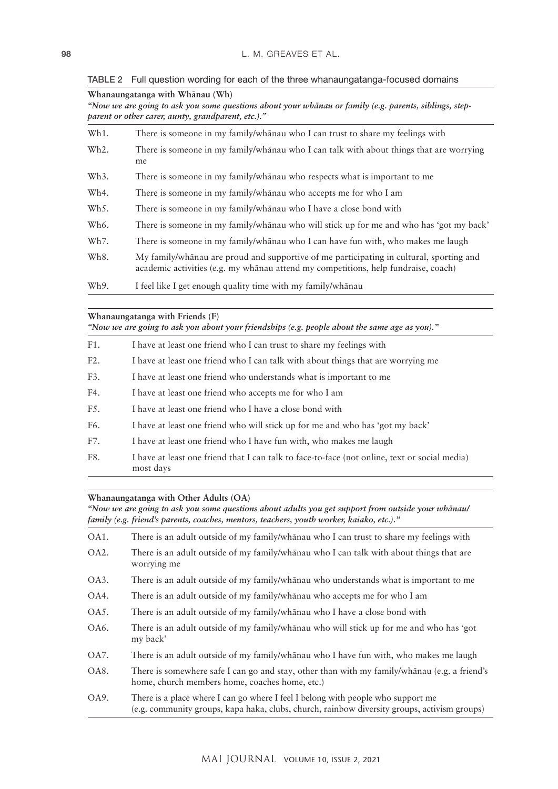TABLE 2 Full question wording for each of the three whanaungatanga-focused domains

| Whanaungatanga with Whānau (Wh)<br>"Now we are going to ask you some questions about your whanau or family (e.g. parents, siblings, step-<br>parent or other carer, aunty, grandparent, etc.)." |                                                                                                                                                                               |  |
|-------------------------------------------------------------------------------------------------------------------------------------------------------------------------------------------------|-------------------------------------------------------------------------------------------------------------------------------------------------------------------------------|--|
| Wh1.                                                                                                                                                                                            | There is someone in my family/whanau who I can trust to share my feelings with                                                                                                |  |
| Wh <sub>2</sub> .                                                                                                                                                                               | There is someone in my family/whanau who I can talk with about things that are worrying<br>me                                                                                 |  |
| Wh <sub>3</sub> .                                                                                                                                                                               | There is someone in my family/whanau who respects what is important to me                                                                                                     |  |
| Wh4.                                                                                                                                                                                            | There is someone in my family/whanau who accepts me for who I am                                                                                                              |  |
| Wh5.                                                                                                                                                                                            | There is someone in my family/whanau who I have a close bond with                                                                                                             |  |
| Wh6.                                                                                                                                                                                            | There is someone in my family/whanau who will stick up for me and who has 'got my back'                                                                                       |  |
| Wh7.                                                                                                                                                                                            | There is someone in my family/whanau who I can have fun with, who makes me laugh                                                                                              |  |
| Wh <sub>8</sub> .                                                                                                                                                                               | My family/whanau are proud and supportive of me participating in cultural, sporting and<br>academic activities (e.g. my whanau attend my competitions, help fundraise, coach) |  |
| Wh <sub>9</sub> .                                                                                                                                                                               | I feel like I get enough quality time with my family/whanau                                                                                                                   |  |

| Whanaungatanga with Friends (F)<br>"Now we are going to ask you about your friendships (e.g. people about the same age as you)." |                                                                                                            |  |
|----------------------------------------------------------------------------------------------------------------------------------|------------------------------------------------------------------------------------------------------------|--|
| F1.                                                                                                                              | I have at least one friend who I can trust to share my feelings with                                       |  |
| F2.                                                                                                                              | I have at least one friend who I can talk with about things that are worrying me                           |  |
| F3.                                                                                                                              | I have at least one friend who understands what is important to me                                         |  |
| F4.                                                                                                                              | I have at least one friend who accepts me for who I am                                                     |  |
| F5.                                                                                                                              | I have at least one friend who I have a close bond with                                                    |  |
| F6.                                                                                                                              | I have at least one friend who will stick up for me and who has 'got my back'                              |  |
| F7.                                                                                                                              | I have at least one friend who I have fun with, who makes me laugh                                         |  |
| F8.                                                                                                                              | I have at least one friend that I can talk to face-to-face (not online, text or social media)<br>most days |  |

# **Whanaungatanga with Other Adults (OA)**

*"Now we are going to ask you some questions about adults you get support from outside your whānau/ family (e.g. friend's parents, coaches, mentors, teachers, youth worker, kaiako, etc.)."*

| OA1. | There is an adult outside of my family/whanau who I can trust to share my feelings with                                                                                         |  |
|------|---------------------------------------------------------------------------------------------------------------------------------------------------------------------------------|--|
| OA2. | There is an adult outside of my family/whanau who I can talk with about things that are<br>worrying me                                                                          |  |
| OA3. | There is an adult outside of my family/whanau who understands what is important to me                                                                                           |  |
| OA4. | There is an adult outside of my family/whanau who accepts me for who I am                                                                                                       |  |
| OA5. | There is an adult outside of my family/whanau who I have a close bond with                                                                                                      |  |
| OA6. | There is an adult outside of my family/whanau who will stick up for me and who has 'got<br>my back'                                                                             |  |
| OA7. | There is an adult outside of my family/whanau who I have fun with, who makes me laugh                                                                                           |  |
| OA8. | There is somewhere safe I can go and stay, other than with my family/whanau (e.g. a friend's<br>home, church members home, coaches home, etc.)                                  |  |
| OA9. | There is a place where I can go where I feel I belong with people who support me<br>e.g. community groups, kapa haka, clubs, church, rainbow diversity groups, activism groups) |  |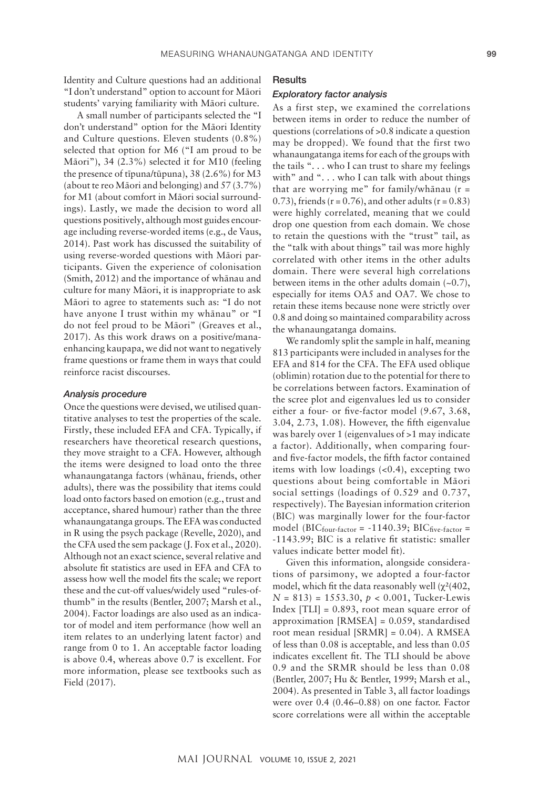Identity and Culture questions had an additional "I don't understand" option to account for Māori students' varying familiarity with Māori culture.

A small number of participants selected the "I don't understand" option for the Māori Identity and Culture questions. Eleven students (0.8%) selected that option for M6 ("I am proud to be Māori"), 34 (2.3%) selected it for M10 (feeling the presence of tīpuna/tūpuna), 38 (2.6%) for M3 (about te reo Māori and belonging) and 57 (3.7%) for M1 (about comfort in Māori social surroundings). Lastly, we made the decision to word all questions positively, although most guides encourage including reverse-worded items (e.g., de Vaus, 2014). Past work has discussed the suitability of using reverse-worded questions with Māori participants. Given the experience of colonisation (Smith, 2012) and the importance of whānau and culture for many Māori, it is inappropriate to ask Māori to agree to statements such as: "I do not have anyone I trust within my whānau" or "I do not feel proud to be Māori" (Greaves et al., 2017). As this work draws on a positive/manaenhancing kaupapa, we did not want to negatively frame questions or frame them in ways that could reinforce racist discourses.

#### *Analysis procedure*

Once the questions were devised, we utilised quantitative analyses to test the properties of the scale. Firstly, these included EFA and CFA. Typically, if researchers have theoretical research questions, they move straight to a CFA. However, although the items were designed to load onto the three whanaungatanga factors (whānau, friends, other adults), there was the possibility that items could load onto factors based on emotion (e.g., trust and acceptance, shared humour) rather than the three whanaungatanga groups. The EFA was conducted in R using the psych package (Revelle, 2020), and the CFA used the sem package (J. Fox et al., 2020). Although not an exact science, several relative and absolute fit statistics are used in EFA and CFA to assess how well the model fits the scale; we report these and the cut-off values/widely used "rules-ofthumb" in the results (Bentler, 2007; Marsh et al., 2004). Factor loadings are also used as an indicator of model and item performance (how well an item relates to an underlying latent factor) and range from 0 to 1. An acceptable factor loading is above 0.4, whereas above 0.7 is excellent. For more information, please see textbooks such as Field (2017).

#### **Results**

#### *Exploratory factor analysis*

As a first step, we examined the correlations between items in order to reduce the number of questions (correlations of >0.8 indicate a question may be dropped). We found that the first two whanaungatanga items for each of the groups with the tails ". . . who I can trust to share my feelings with" and "... who I can talk with about things that are worrying me" for family/whānau (r = 0.73), friends ( $r = 0.76$ ), and other adults ( $r = 0.83$ ) were highly correlated, meaning that we could drop one question from each domain. We chose to retain the questions with the "trust" tail, as the "talk with about things" tail was more highly correlated with other items in the other adults domain. There were several high correlations between items in the other adults domain  $(-0.7)$ , especially for items OA5 and OA7. We chose to retain these items because none were strictly over 0.8 and doing so maintained comparability across the whanaungatanga domains.

We randomly split the sample in half, meaning 813 participants were included in analyses for the EFA and 814 for the CFA. The EFA used oblique (oblimin) rotation due to the potential for there to be correlations between factors. Examination of the scree plot and eigenvalues led us to consider either a four- or five-factor model (9.67, 3.68, 3.04, 2.73, 1.08). However, the fifth eigenvalue was barely over 1 (eigenvalues of >1 may indicate a factor). Additionally, when comparing fourand five-factor models, the fifth factor contained items with low loadings (<0.4), excepting two questions about being comfortable in Māori social settings (loadings of 0.529 and 0.737, respectively). The Bayesian information criterion (BIC) was marginally lower for the four-factor model (BIC $_{\text{four-factor}}$  = -1140.39; BIC $_{\text{five-factor}}$  = -1143.99; BIC is a relative fit statistic: smaller values indicate better model fit).

Given this information, alongside considerations of parsimony, we adopted a four-factor model, which fit the data reasonably well  $(\chi^2/402,$ *N* = 813) = 1553.30, *p* < 0.001, Tucker-Lewis Index [TLI] = 0.893, root mean square error of approximation [RMSEA] = 0.059, standardised root mean residual [SRMR] = 0.04). A RMSEA of less than 0.08 is acceptable, and less than 0.05 indicates excellent fit. The TLI should be above 0.9 and the SRMR should be less than 0.08 (Bentler, 2007; Hu & Bentler, 1999; Marsh et al., 2004). As presented in Table 3, all factor loadings were over 0.4 (0.46–0.88) on one factor. Factor score correlations were all within the acceptable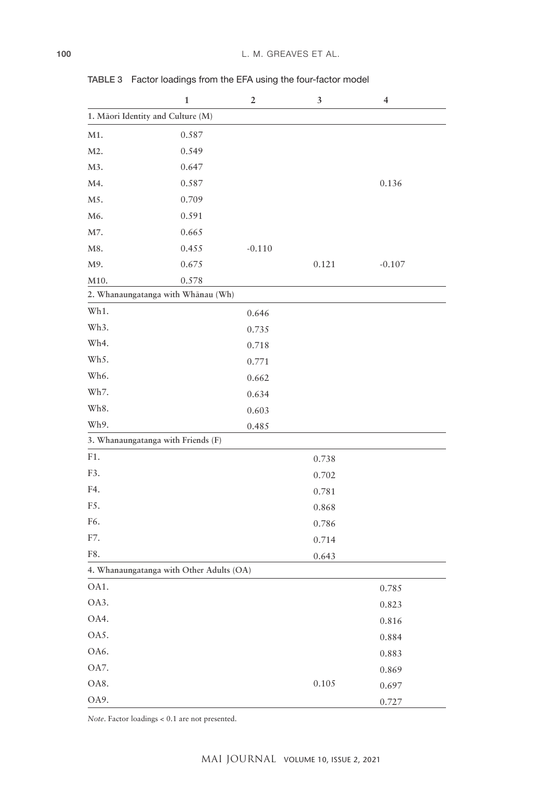|                                          | $\mathbf{1}$ | $\boldsymbol{2}$ | $\mathfrak{Z}$ | $\overline{\mathbf{4}}$ |
|------------------------------------------|--------------|------------------|----------------|-------------------------|
| 1. Māori Identity and Culture (M)        |              |                  |                |                         |
| M1.                                      | 0.587        |                  |                |                         |
| M2.                                      | 0.549        |                  |                |                         |
| M3.                                      | 0.647        |                  |                |                         |
| M4.                                      | 0.587        |                  |                | 0.136                   |
| M5.                                      | 0.709        |                  |                |                         |
| M6.                                      | 0.591        |                  |                |                         |
| M7.                                      | 0.665        |                  |                |                         |
| M8.                                      | 0.455        | $-0.110$         |                |                         |
| M9.                                      | 0.675        |                  | 0.121          | $-0.107$                |
| M10.                                     | 0.578        |                  |                |                         |
| 2. Whanaungatanga with Whānau (Wh)       |              |                  |                |                         |
| Wh1.                                     |              | 0.646            |                |                         |
| Wh3.                                     |              | 0.735            |                |                         |
| Wh4.                                     |              | 0.718            |                |                         |
| Wh5.                                     |              | 0.771            |                |                         |
| Wh6.                                     |              | 0.662            |                |                         |
| Wh7.                                     |              | 0.634            |                |                         |
| Wh8.                                     |              | 0.603            |                |                         |
| Wh9.                                     |              | 0.485            |                |                         |
| 3. Whanaungatanga with Friends (F)       |              |                  |                |                         |
| F1.                                      |              |                  | 0.738          |                         |
| F3.                                      |              |                  | 0.702          |                         |
| F4.                                      |              |                  | 0.781          |                         |
| F5.                                      |              |                  | 0.868          |                         |
| F6.                                      |              |                  | 0.786          |                         |
| F7.                                      |              |                  | 0.714          |                         |
| F8.                                      |              |                  | 0.643          |                         |
| 4. Whanaungatanga with Other Adults (OA) |              |                  |                |                         |
| OA1.                                     |              |                  |                | 0.785                   |
| OA3.                                     |              |                  |                | 0.823                   |
| OA4.                                     |              |                  |                | 0.816                   |
| OA5.                                     |              |                  |                | 0.884                   |
| OA6.                                     |              |                  |                | 0.883                   |
| OA7.                                     |              |                  |                | 0.869                   |
| OA8.                                     |              |                  | 0.105          | 0.697                   |
| OA9.                                     |              |                  |                | 0.727                   |

TABLE 3 Factor loadings from the EFA using the four-factor model

*Note*. Factor loadings < 0.1 are not presented.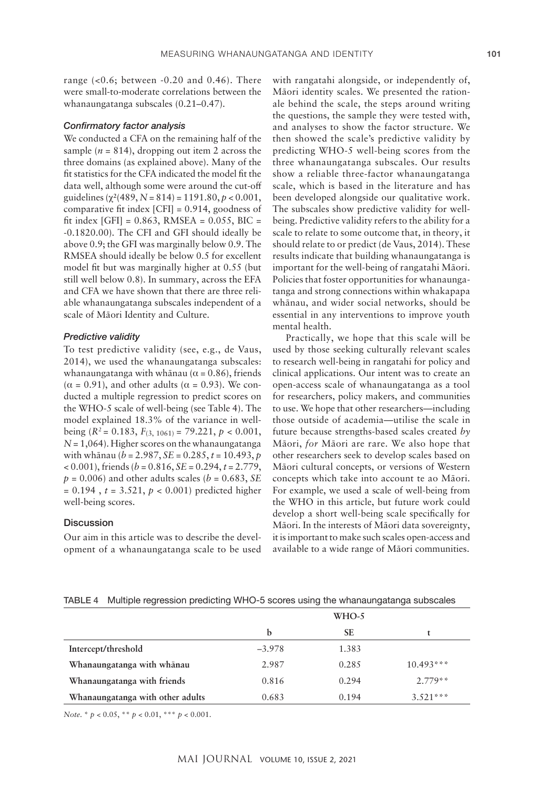range  $\left( < 0.6 \right)$ ; between  $-0.20$  and  $0.46$ ). There were small-to-moderate correlations between the whanaungatanga subscales (0.21–0.47).

#### *Confirmatory factor analysis*

We conducted a CFA on the remaining half of the sample ( $n = 814$ ), dropping out item 2 across the three domains (as explained above). Many of the fit statistics for the CFA indicated the model fit the data well, although some were around the cut-off guidelines  $(\chi^2(489, N = 814) = 1191.80, p < 0.001,$ comparative fit index [CFI] = 0.914, goodness of fit index  $[GFI] = 0.863$ , RMSEA = 0.055, BIC = -0.1820.00). The CFI and GFI should ideally be above 0.9; the GFI was marginally below 0.9. The RMSEA should ideally be below 0.5 for excellent model fit but was marginally higher at 0.55 (but still well below 0.8). In summary, across the EFA and CFA we have shown that there are three reliable whanaungatanga subscales independent of a scale of Māori Identity and Culture.

#### *Predictive validity*

To test predictive validity (see, e.g., de Vaus, 2014), we used the whanaungatanga subscales: whanaungatanga with whānau ( $\alpha$  = 0.86), friends  $(\alpha = 0.91)$ , and other adults  $(\alpha = 0.93)$ . We conducted a multiple regression to predict scores on the WHO-5 scale of well-being (see Table 4). The model explained 18.3% of the variance in wellbeing (*R2* = 0.183, *F*(3, 1061) = 79.221, *p* < 0.001,  $N = 1,064$ . Higher scores on the whanaungatanga with whānau (*b* = 2.987, *SE* = 0.285, *t* = 10.493, *p*  < 0.001), friends (*b* = 0.816, *SE* = 0.294, *t* = 2.779,  $p = 0.006$ ) and other adults scales ( $b = 0.683$ , *SE* = 0.194 , *t* = 3.521, *p* < 0.001) predicted higher well-being scores.

#### **Discussion**

Our aim in this article was to describe the development of a whanaungatanga scale to be used with rangatahi alongside, or independently of, Māori identity scales. We presented the rationale behind the scale, the steps around writing the questions, the sample they were tested with, and analyses to show the factor structure. We then showed the scale's predictive validity by predicting WHO-5 well-being scores from the three whanaungatanga subscales. Our results show a reliable three-factor whanaungatanga scale, which is based in the literature and has been developed alongside our qualitative work. The subscales show predictive validity for wellbeing. Predictive validity refers to the ability for a scale to relate to some outcome that, in theory, it should relate to or predict (de Vaus, 2014). These results indicate that building whanaungatanga is important for the well-being of rangatahi Māori. Policies that foster opportunities for whanaungatanga and strong connections within whakapapa whānau, and wider social networks, should be essential in any interventions to improve youth mental health.

Practically, we hope that this scale will be used by those seeking culturally relevant scales to research well-being in rangatahi for policy and clinical applications. Our intent was to create an open-access scale of whanaungatanga as a tool for researchers, policy makers, and communities to use. We hope that other researchers—including those outside of academia—utilise the scale in future because strengths-based scales created *by* Māori, *for* Māori are rare. We also hope that other researchers seek to develop scales based on Māori cultural concepts, or versions of Western concepts which take into account te ao Māori. For example, we used a scale of well-being from the WHO in this article, but future work could develop a short well-being scale specifically for Māori. In the interests of Māori data sovereignty, it is important to make such scales open-access and available to a wide range of Māori communities.

| media in manpo regrección prodicting miro o coorce dellig the midiramigataliga capecalec |          |           |             |
|------------------------------------------------------------------------------------------|----------|-----------|-------------|
|                                                                                          |          | $WHO-5$   |             |
|                                                                                          | b        | <b>SE</b> |             |
| Intercept/threshold                                                                      | $-3.978$ | 1.383     |             |
| Whanaungatanga with whānau                                                               | 2.987    | 0.285     | $10.493***$ |
| Whanaungatanga with friends                                                              | 0.816    | 0.294     | $2.779**$   |
| Whanaungatanga with other adults                                                         | 0.683    | 0.194     | $3.521***$  |

#### TABLE 4 Multiple regression predicting WHO-5 scores using the whanaungatanga subscales

*Note*. \* *p* < 0.05, \*\* *p* < 0.01, \*\*\* *p* < 0.001.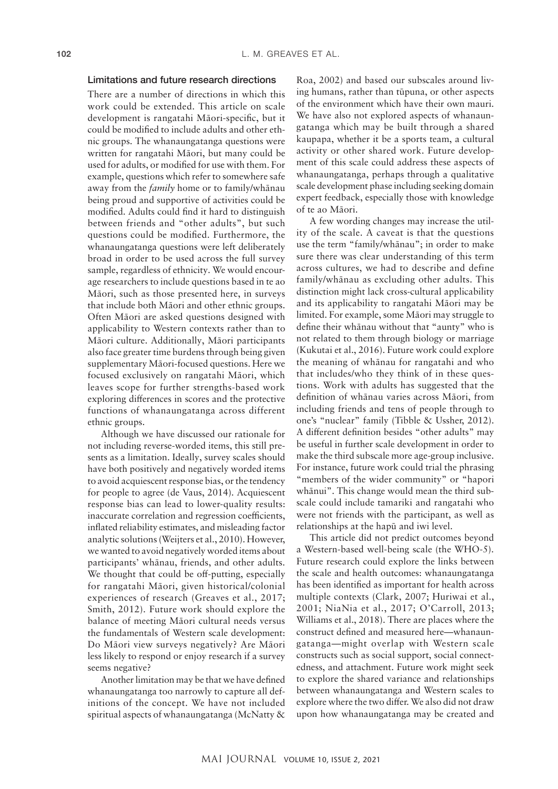#### Limitations and future research directions

There are a number of directions in which this work could be extended. This article on scale development is rangatahi Māori-specific, but it could be modified to include adults and other ethnic groups. The whanaungatanga questions were written for rangatahi Māori, but many could be used for adults, or modified for use with them. For example, questions which refer to somewhere safe away from the *family* home or to family/whānau being proud and supportive of activities could be modified. Adults could find it hard to distinguish between friends and "other adults", but such questions could be modified. Furthermore, the whanaungatanga questions were left deliberately broad in order to be used across the full survey sample, regardless of ethnicity. We would encourage researchers to include questions based in te ao Māori, such as those presented here, in surveys that include both Māori and other ethnic groups. Often Māori are asked questions designed with applicability to Western contexts rather than to Māori culture. Additionally, Māori participants also face greater time burdens through being given supplementary Māori-focused questions. Here we focused exclusively on rangatahi Māori, which leaves scope for further strengths-based work exploring differences in scores and the protective functions of whanaungatanga across different ethnic groups.

Although we have discussed our rationale for not including reverse-worded items, this still presents as a limitation. Ideally, survey scales should have both positively and negatively worded items to avoid acquiescent response bias, or the tendency for people to agree (de Vaus, 2014). Acquiescent response bias can lead to lower-quality results: inaccurate correlation and regression coefficients, inflated reliability estimates, and misleading factor analytic solutions (Weijters et al., 2010). However, we wanted to avoid negatively worded items about participants' whānau, friends, and other adults. We thought that could be off-putting, especially for rangatahi Māori, given historical/colonial experiences of research (Greaves et al., 2017; Smith, 2012). Future work should explore the balance of meeting Māori cultural needs versus the fundamentals of Western scale development: Do Māori view surveys negatively? Are Māori less likely to respond or enjoy research if a survey seems negative?

Another limitation may be that we have defined whanaungatanga too narrowly to capture all definitions of the concept. We have not included spiritual aspects of whanaungatanga (McNatty &

Roa, 2002) and based our subscales around living humans, rather than tūpuna, or other aspects of the environment which have their own mauri. We have also not explored aspects of whanaungatanga which may be built through a shared kaupapa, whether it be a sports team, a cultural activity or other shared work. Future development of this scale could address these aspects of whanaungatanga, perhaps through a qualitative scale development phase including seeking domain expert feedback, especially those with knowledge of te ao Māori.

A few wording changes may increase the utility of the scale. A caveat is that the questions use the term "family/whānau"; in order to make sure there was clear understanding of this term across cultures, we had to describe and define family/whānau as excluding other adults. This distinction might lack cross-cultural applicability and its applicability to rangatahi Māori may be limited. For example, some Māori may struggle to define their whānau without that "aunty" who is not related to them through biology or marriage (Kukutai et al., 2016). Future work could explore the meaning of whānau for rangatahi and who that includes/who they think of in these questions. Work with adults has suggested that the definition of whānau varies across Māori, from including friends and tens of people through to one's "nuclear" family (Tibble & Ussher, 2012). A different definition besides "other adults" may be useful in further scale development in order to make the third subscale more age-group inclusive. For instance, future work could trial the phrasing "members of the wider community" or "hapori whānui". This change would mean the third subscale could include tamariki and rangatahi who were not friends with the participant, as well as relationships at the hapū and iwi level.

This article did not predict outcomes beyond a Western-based well-being scale (the WHO-5). Future research could explore the links between the scale and health outcomes: whanaungatanga has been identified as important for health across multiple contexts (Clark, 2007; Huriwai et al., 2001; NiaNia et al., 2017; O'Carroll, 2013; Williams et al., 2018). There are places where the construct defined and measured here—whanaungatanga—might overlap with Western scale constructs such as social support, social connectedness, and attachment. Future work might seek to explore the shared variance and relationships between whanaungatanga and Western scales to explore where the two differ. We also did not draw upon how whanaungatanga may be created and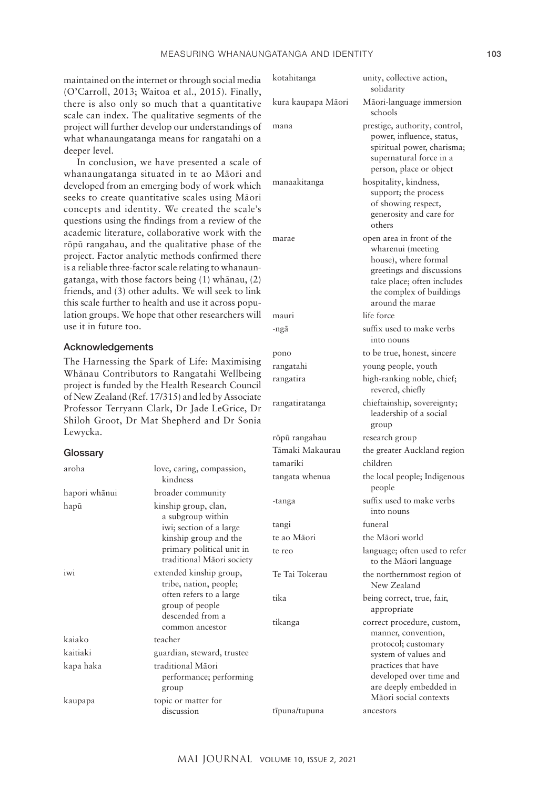maintained on the internet or through social media (O'Carroll, 2013; Waitoa et al., 2015). Finally, there is also only so much that a quantitative scale can index. The qualitative segments of the project will further develop our understandings of what whanaungatanga means for rangatahi on a deeper level.

In conclusion, we have presented a scale of whanaungatanga situated in te ao Māori and developed from an emerging body of work which seeks to create quantitative scales using Māori concepts and identity. We created the scale's questions using the findings from a review of the academic literature, collaborative work with the rōpū rangahau, and the qualitative phase of the project. Factor analytic methods confirmed there is a reliable three-factor scale relating to whanaungatanga, with those factors being (1) whānau, (2) friends, and (3) other adults. We will seek to link this scale further to health and use it across population groups. We hope that other researchers will use i

### Ack

#### Glos

|                                                                                                                                   | project. Factor analytic methods confirmed there<br>is a reliable three-factor scale relating to whanaun-<br>gatanga, with those factors being (1) whānau, (2)<br>friends, and (3) other adults. We will seek to link<br>this scale further to health and use it across popu- |                 | house), where formal<br>greetings and discussions<br>take place; often includes<br>the complex of buildings<br>around the marae |
|-----------------------------------------------------------------------------------------------------------------------------------|-------------------------------------------------------------------------------------------------------------------------------------------------------------------------------------------------------------------------------------------------------------------------------|-----------------|---------------------------------------------------------------------------------------------------------------------------------|
|                                                                                                                                   | lation groups. We hope that other researchers will                                                                                                                                                                                                                            | mauri           | life force                                                                                                                      |
| use it in future too.                                                                                                             |                                                                                                                                                                                                                                                                               | -ngā            | suffix used to make verbs<br>into nouns                                                                                         |
| Acknowledgements                                                                                                                  |                                                                                                                                                                                                                                                                               | pono            | to be true, honest, sincere                                                                                                     |
|                                                                                                                                   | The Harnessing the Spark of Life: Maximising                                                                                                                                                                                                                                  | rangatahi       | young people, youth                                                                                                             |
|                                                                                                                                   | Whānau Contributors to Rangatahi Wellbeing<br>project is funded by the Health Research Council                                                                                                                                                                                | rangatira       | high-ranking noble, chief;<br>revered, chiefly                                                                                  |
|                                                                                                                                   | of New Zealand (Ref. 17/315) and led by Associate<br>Professor Terryann Clark, Dr Jade LeGrice, Dr<br>Shiloh Groot, Dr Mat Shepherd and Dr Sonia                                                                                                                              | rangatiratanga  | chieftainship, sovereignty;<br>leadership of a social<br>group                                                                  |
| Lewycka.                                                                                                                          |                                                                                                                                                                                                                                                                               | rōpū rangahau   | research group                                                                                                                  |
| Glossary                                                                                                                          |                                                                                                                                                                                                                                                                               | Tāmaki Makaurau | the greater Auckland region                                                                                                     |
| aroha                                                                                                                             | love, caring, compassion,                                                                                                                                                                                                                                                     | tamariki        | children                                                                                                                        |
|                                                                                                                                   | kindness                                                                                                                                                                                                                                                                      | tangata whenua  | the local people; Indigenous<br>people                                                                                          |
| hapori whānui<br>hapū                                                                                                             | broader community<br>kinship group, clan,<br>a subgroup within                                                                                                                                                                                                                | -tanga          | suffix used to make verbs<br>into nouns                                                                                         |
|                                                                                                                                   | iwi; section of a large                                                                                                                                                                                                                                                       | tangi           | funeral                                                                                                                         |
|                                                                                                                                   | kinship group and the                                                                                                                                                                                                                                                         | te ao Māori     | the Māori world                                                                                                                 |
|                                                                                                                                   | primary political unit in<br>traditional Māori society                                                                                                                                                                                                                        | te reo          | language; often used to refer<br>to the Māori language                                                                          |
| iwi                                                                                                                               | extended kinship group,<br>tribe, nation, people;                                                                                                                                                                                                                             | Te Tai Tokerau  | the northernmost region of<br>New Zealand                                                                                       |
|                                                                                                                                   | often refers to a large<br>group of people                                                                                                                                                                                                                                    | tika            | being correct, true, fair,<br>appropriate                                                                                       |
|                                                                                                                                   | descended from a<br>common ancestor                                                                                                                                                                                                                                           | tikanga         | correct procedure, custom,<br>manner, convention,                                                                               |
| kajako<br>teacher<br>kaitiaki<br>guardian, steward, trustee<br>traditional Māori<br>kapa haka<br>performance; performing<br>group |                                                                                                                                                                                                                                                                               |                 | protocol; customary                                                                                                             |
|                                                                                                                                   |                                                                                                                                                                                                                                                                               |                 | system of values and                                                                                                            |
|                                                                                                                                   |                                                                                                                                                                                                                                                                               |                 | practices that have<br>developed over time and<br>are deeply embedded in<br>Māori social contexts                               |
| kaupapa                                                                                                                           | topic or matter for<br>discussion                                                                                                                                                                                                                                             | tīpuna/tupuna   | ancestors                                                                                                                       |

kotahitanga unity, collective action, kura kaupapa Māori Māori-language immersion mana prestige, authority, control, manaakitanga hospitality, kindness, marae open area in front of the

solidarity

schools

others

power, influence, status, spiritual power, charisma; supernatural force in a person, place or object

support; the process of showing respect, generosity and care for

wharenui (meeting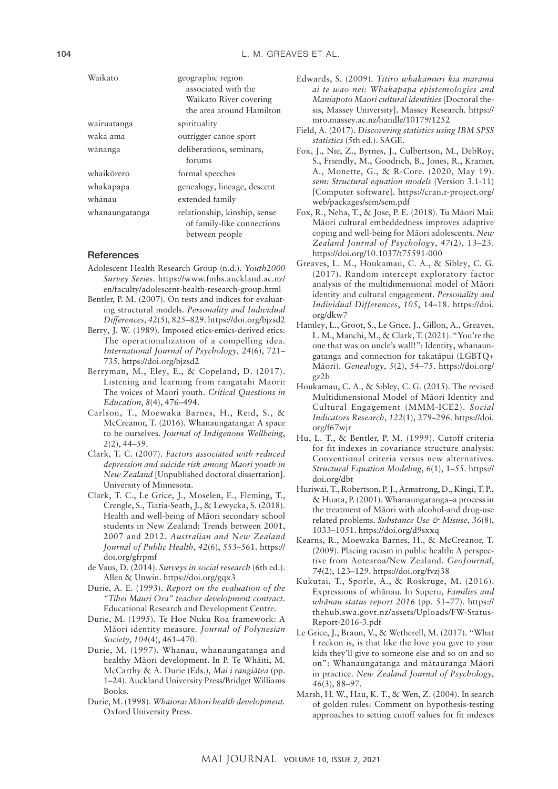| Waikato        | geographic region                                          |
|----------------|------------------------------------------------------------|
|                | associated with the                                        |
|                | Waikato River covering                                     |
|                | the area around Hamilton                                   |
| wairuatanga    | spirituality                                               |
| waka ama       | outrigger canoe sport                                      |
| wānanga        | deliberations, seminars,                                   |
|                | forums                                                     |
| whaikōrero     | formal speeches                                            |
| whakapapa      | genealogy, lineage, descent                                |
| whānau         | extended family                                            |
| whanaungatanga | relationship, kinship, sense<br>of family-like connections |
|                | between people                                             |

#### **References**

- Adolescent Health Research Group (n.d.). *Youth2000 Survey Series*. [https://www.fmhs.auckland.ac.nz/](https://www.fmhs.auckland.ac.nz/en/faculty/adolescent-health-research-group.html) [en/faculty/adolescent-health-research-group.html](https://www.fmhs.auckland.ac.nz/en/faculty/adolescent-health-research-group.html)
- Bentler, P. M. (2007). On tests and indices for evaluating structural models. *Personality and Individual Differences*, *42*(5), 825–829.<https://doi.org/bjzsd2>
- Berry, J. W. (1989). Imposed etics-emics-derived etics: The operationalization of a compelling idea*. International Journal of Psychology*, *24*(6), 721– 735.<https://doi.org/bjzsd2>
- Berryman, M., Eley, E., & Copeland, D. (2017). Listening and learning from rangatahi Maori: The voices of Maori youth. *Critical Questions in Education*, *8*(4), 476–494.
- Carlson, T., Moewaka Barnes, H., Reid, S., & McCreanor, T. (2016). Whanaungatanga: A space to be ourselves. *Journal of Indigenous Wellbeing*, *2*(2), 44–59.
- Clark, T. C. (2007). *Factors associated with reduced depression and suicide risk among Maori youth in New Zealand* [Unpublished doctoral dissertation]. University of Minnesota.
- Clark, T. C., Le Grice, J., Moselen, E., Fleming, T., Crengle, S., Tiatia-Seath, J., & Lewycka, S. (2018). Health and well-being of Māori secondary school students in New Zealand: Trends between 2001, 2007 and 2012. *Australian and New Zealand Journal of Public Health*, *42*(6), 553–561. [https://](https://doi.org/gfrpmf) [doi.org/gfrpmf](https://doi.org/gfrpmf)
- de Vaus, D. (2014). *Surveys in social research* (6th ed.). Allen & Unwin.<https://doi.org/gqx3>
- Durie, A. E. (1993). *Report on the evaluation of the "Tihei Mauri Ora" teacher development contract*. Educational Research and Development Centre.
- Durie, M. (1995). Te Hoe Nuku Roa framework: A Māori identity measure*. Journal of Polynesian Society*, *104*(4), 461–470.
- Durie, M. (1997). Whanau, whanaungatanga and healthy Māori development. In P. Te Whāiti, M. McCarthy & A. Durie (Eds.), *Mai i rangiātea* (pp. 1–24). Auckland University Press/Bridget Williams Books.
- Durie, M. (1998). *Whaiora: Māori health development.* Oxford University Press.
- Edwards, S. (2009). *Titiro whakamuri kia marama ai te wao nei: Whakapapa epistemologies and Maniapoto Maori cultural identities* [Doctoral thesis, Massey University]. Massey Research. [https://](https://mro.massey.ac.nz/handle/10179/1252) [mro.massey.ac.nz/handle/10179/1252](https://mro.massey.ac.nz/handle/10179/1252)
- Field, A. (2017). *Discovering statistics using IBM SPSS statistics* (5th ed.). SAGE.
- Fox, J., Nie, Z., Byrnes, J., Culbertson, M., DebRoy, S., Friendly, M., Goodrich, B., Jones, R., Kramer, A., Monette, G., & R-Core. (2020, May 19). *sem: Structural equation models* (Version 3.1-11) [Computer software]. [https://cran.r-project.org/](https://cran.r-project.org/web/packages/sem/sem.pdf) [web/packages/sem/sem.pdf](https://cran.r-project.org/web/packages/sem/sem.pdf)
- Fox, R., Neha, T., & Jose, P. E. (2018). Tu Māori Mai: Māori cultural embeddedness improves adaptive coping and well-being for Māori adolescents. *New Zealand Journal of Psychology*, *47*(2), 13–23. <https://doi.org/10.1037/t75591-000>
- Greaves, L. M., Houkamau, C. A., & Sibley, C. G. (2017). Random intercept exploratory factor analysis of the multidimensional model of Māori identity and cultural engagement. *Personality and Individual Differences*, *105*, 14–18. [https://doi.](https://doi.org/dkw7) [org/dkw7](https://doi.org/dkw7)
- Hamley, L., Groot, S., Le Grice, J., Gillon, A., Greaves, L. M., Manchi, M., & Clark, T. (2021). "You're the one that was on uncle's wall!": Identity, whanaungatanga and connection for takatāpui (LGBTQ+ Māori). *Genealogy*, *5*(2), 54–75. [https://doi.org/](https://doi.org/gz2b) [gz2b](https://doi.org/gz2b)
- Houkamau, C. A., & Sibley, C. G. (2015). The revised Multidimensional Model of Māori Identity and Cultural Engagement (MMM-ICE2). *Social Indicators Research*, *122*(1), 279–296. [https://doi.](https://doi.org/f67wjr) [org/f67wjr](https://doi.org/f67wjr)
- Hu, L. T., & Bentler, P. M. (1999). Cutoff criteria for fit indexes in covariance structure analysis: Conventional criteria versus new alternatives. *Structural Equation Modeling*, *6*(1), 1–55. [https://](https://doi.org/dbt) [doi.org/dbt](https://doi.org/dbt)
- Huriwai, T., Robertson, P. J., Armstrong, D., Kingi, T. P., & Huata, P. (2001). Whanaungatanga–a process in the treatment of Māori with alcohol-and drug-use related problems. *Substance Use & Misuse*, *36*(8), 1033–1051. <https://doi.org/d9sxxq>
- Kearns, R., Moewaka Barnes, H., & McCreanor, T. (2009). Placing racism in public health: A perspective from Aotearoa/New Zealand. *GeoJournal*, *74*(2), 123–129.<https://doi.org/fvzj38>
- Kukutai, T., Sporle, A., & Roskruge, M. (2016). Expressions of whānau. In Superu, *Families and whānau status report 2016* (pp. 51–77)*.* [https://](https://thehub.swa.govt.nz/assets/Uploads/FW-Status-Report-2016-3.pdf) [thehub.swa.govt.nz/assets/Uploads/FW-Status-](https://thehub.swa.govt.nz/assets/Uploads/FW-Status-Report-2016-3.pdf)[Report-2016-3.pdf](https://thehub.swa.govt.nz/assets/Uploads/FW-Status-Report-2016-3.pdf)
- Le Grice, J., Braun, V., & Wetherell, M. (2017). "What I reckon is, is that like the love you give to your kids they'll give to someone else and so on and so on": Whanaungatanga and mātauranga Māori in practice. *New Zealand Journal of Psychology*, *46*(3), 88–97.
- Marsh, H. W., Hau, K. T., & Wen, Z. (2004). In search of golden rules: Comment on hypothesis-testing approaches to setting cutoff values for fit indexes